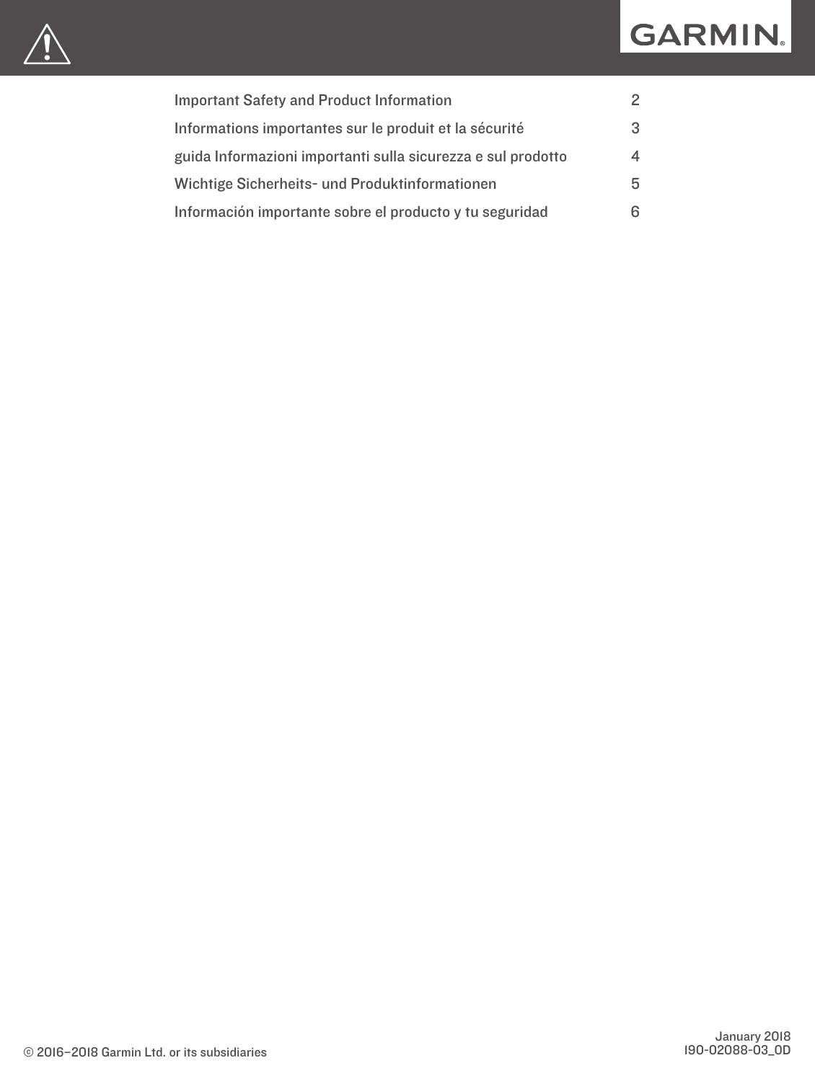# GARMIN.



| 2                        |
|--------------------------|
| -3                       |
| $\overline{\mathcal{A}}$ |
| 5                        |
| 6                        |
|                          |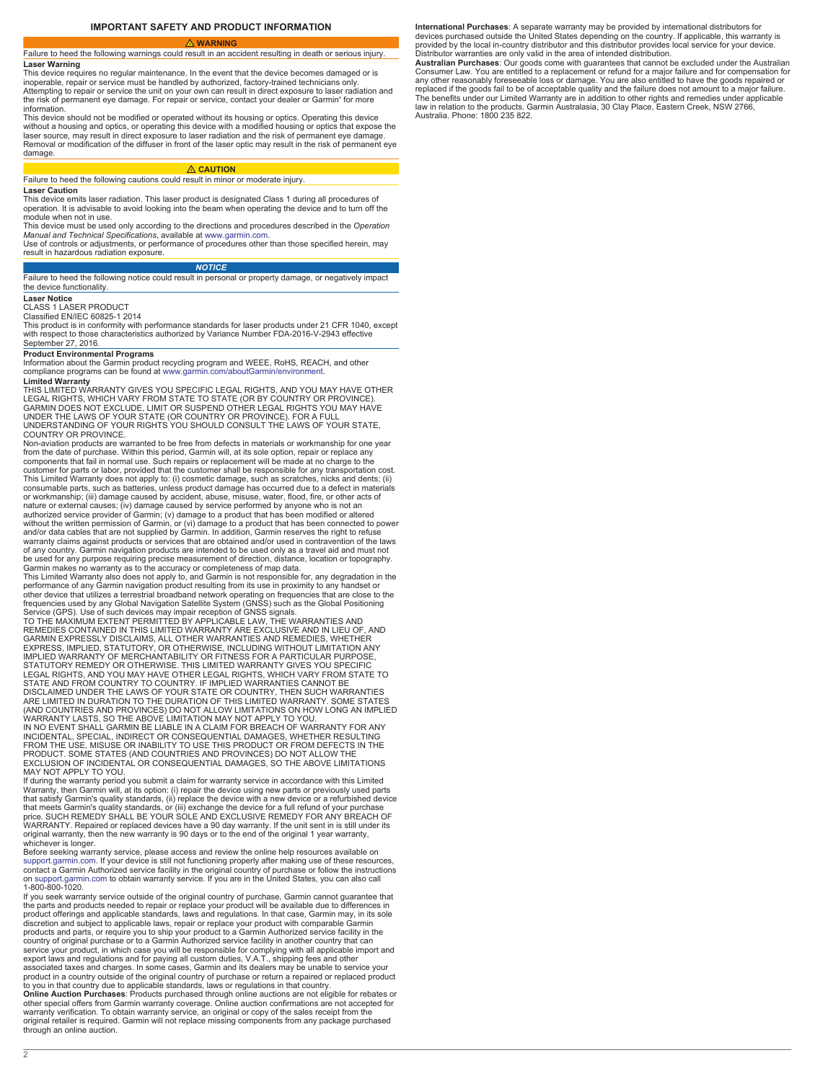### **WARNING**

<span id="page-1-0"></span>Failure to heed the following warnings could result in an accident resulting in death or serious injury. **Laser Warning**

This device requires no regular maintenance. In the event that the device becomes damaged or is inoperable, repair or service must be handled by authorized, factory-trained technicians only. Attempting to repair or service the unit on your own can result in direct exposure to laser radiation and the risk of permanent eye damage. For repair or service, contact your dealer or Garmin® for more information.

This device should not be modified or operated without its housing or optics. Operating this device without a housing and optics, or operating this device with a modified housing or optics that expose the laser source, may result in direct exposure to laser radiation and the risk of permanent eye damage. Removal or modification of the diffuser in front of the laser optic may result in the risk of permanent eye damage

### **CAUTION**

### Failure to heed the following cautions could result in minor or moderate injury. **Laser Caution**

This device emits laser radiation. This laser product is designated Class 1 during all procedures of operation. It is advisable to avoid looking into the beam when operating the device and to turn off the module when not in use.

This device must be used only according to the directions and procedures described in the *Operation Manual and Technical Specifications*, available at [www.garmin.com.](http://www.garmin.com/) Use of controls or adjustments, or performance of procedures other than those specified herein, may

result in hazardous radiation exposure.

*NOTICE* Failure to heed the following notice could result in personal or property damage, or negatively impact the device functionality.

### **Laser Notice**

CLASS 1 LASER PRODUCT

Classified EN/IEC 60825-1 2014 This product is in conformity with performance standards for laser products under 21 CFR 1040, except with respect to those characteristics authorized by Variance Number FDA-2016-V-2943 effective September 27, 2016.

### **Product Environmental Programs**

Information about the Garmin product recycling program and WEEE, RoHS, REACH, and other compliance programs can be found at [www.garmin.com/aboutGarmin/environment](http://www.garmin.com/aboutGarmin/environment).

### **Limited Warranty**

THIS LIMITED WARRANTY GIVES YOU SPECIFIC LEGAL RIGHTS, AND YOU MAY HAVE OTHER<br>LEGAL RIGHTS, WHICH VARY FROM STATE TO STATE (OR BY COUNTRY OR PROVINCE).<br>GARMIN DOES NOT EXCLUDE, LIMIT OR SUSPEND OTHER LEGAL RIGHTS YOU MAY H UNDER THE LAWS OF YOUR STATE (OR COUNTRY OR PROVINCE). FOR A FULL UNDERSTANDING OF YOUR RIGHTS YOU SHOULD CONSULT THE LAWS OF YOUR STATE, COUNTRY OR PROVINCE.

Non-aviation products are warranted to be free from defects in materials or workmanship for one year<br>from the date of purchase. Within this period, Garmin will, at its sole option, repair or replace any<br>components that fai customer for parts or labor, provided that the customer shall be responsible for any transportation cost.<br>This Limited Warranty does not apply to: (i) cosmetic damage, such as scratches, nicks and dents; (ii)<br>consumable pa authorized service provider of Garmin; (v) damage to a product that has been modified or altered<br>without the written permission of Garmin, or (vi) damage to a product that has been connected to power<br>and/or data cables tha of any country. Garmin navigation products are intended to be used only as a travel aid and must not be used for any purpose requiring precise measurement of direction, distance, location or topography.

Garmin makes no warranty as to the accuracy or completeness of map data.<br>This Limited Warranty also does not apply to, and Garmin is not responsible for, any degradation in the<br>performance of any Garmin navigation product frequencies used by any Global Navigation Satellite System (GNSS) such as the Global Positioning<br>Service (GPS). Use of such devices may impair reception of GNSS signals.<br>TO THE MAXIMUM EXTENT PERMITTED BY APPLICABLE LAW, T

REMEDIES CONTAINED IN THIS LIMITED WARRANTY ARE EXCLUSIVE AND IN LIEU OF, AND<br>GARMIN EXPRESSLY DISCLAIMS, ALL OTHER WARRANTIES AND REMEDIES, WHETHER<br>EXPRESS, IMPLIED, STATUTORY, OR OTHERWISE, INCLUDING WITHOUT LIMITATION A STATE AND FROM COUNTRY TO COUNTRY. IF IMPLIED WARRANTIES CANNOT BE<br>DISCLAIMED UNDER THE LAWS OF YOUR STATE OR COUNTRY, THEN SUCH WARRANTIES<br>ARE LIMITED IN DURATION TO THE DURATION OF THIS LIMITED WARRANTY. SOME STATES (AND COUNTRIES AND PROVINCES) DO NOT ALLOW LIMITATIONS ON HOW LONG AN IMPLIED WARRANTY LASTS, SO THE ABOVE LIMITATION MAY NOT APPLY TO YOU.<br>IN NO EVENT SHALL GARMIN BE LIABLE IN A CLAIM FOR BREACH OF WARRANTY FOR ANY<br>INCIDENTAL, SPECIAL, INDIRECT OR CONSEQUENTIAL DAMAGES, WHETHER RESULTING<br>FROM THE EXCLUSION OF INCIDENTAL OR CONSEQUENTIAL DAMAGES, SO THE ABOVE LIMITATIONS MAY NOT APPLY TO YOU.

If during the warranty period you submit a claim for warranty service in accordance with this Limited Warranty, then Garmin will, at its option: (i) repair the device using new parts or previously used parts that satisfy Garmin's quality standards, (ii) replace the device with a new device or a refurbished device<br>that meets Garmin's quality standards, or (iii) exchange the device for a full refund of your purchase<br>price. SUCH

whichever is longer.<br>Before seeking warranty service, please access and review the online help resources available on<br>Bupport.garmin.com. If your device is still not functioning properly after making use of these resources

If you seek warranty service outside of the original country of purchase, Garmin cannot guarantee that the parts and products needed to repair or replace your product will be available due to differences in<br>product offerings and applicable standards, laws and regulations. In that case, Garmin may, in its sole<br>discretion and products and parts, or require you to ship your product to a Garmin Authorized service facility in the country of original purchase or to a Garmin Authorized service facility in another country that can service your product, in which case you will be responsible for complying with all applicable import and<br>export laws and regulations and for paying all custom duties, V.A.T., shipping fees and other<br>associated taxes and ch to you in that country due to applicable standards, laws or regulations in that country. **Online Auction Purchases**: Products purchased through online auctions are not eligible for rebates or other special offers from Garmin warranty coverage. Online auction confirmations are not accepted for<br>warranty verification. To obtain warranty service, an original or copy of the sales receipt from the<br>original retailer i through an online auction.

**International Purchases**: A separate warranty may be provided by international distributors for devices purchased outside the United States depending on the country. If applicable, this warranty is provided by the local in-country distributor and this distributor provides local service for your device. Distributor warranties are only valid in the area of intended distribution.

**Australian Purchases**: Our goods come with guarantees that cannot be excluded under the Australian<br>Consumer Law. You are entitled to a replacement or refund for a major failure and for compensation for<br>any other reasonabl replaced if the goods fail to be of acceptable quality and the failure does not amount to a major failure.<br>The benefits under our Limited Warranty are in addition to other rights and remedies under applicable<br>law in relati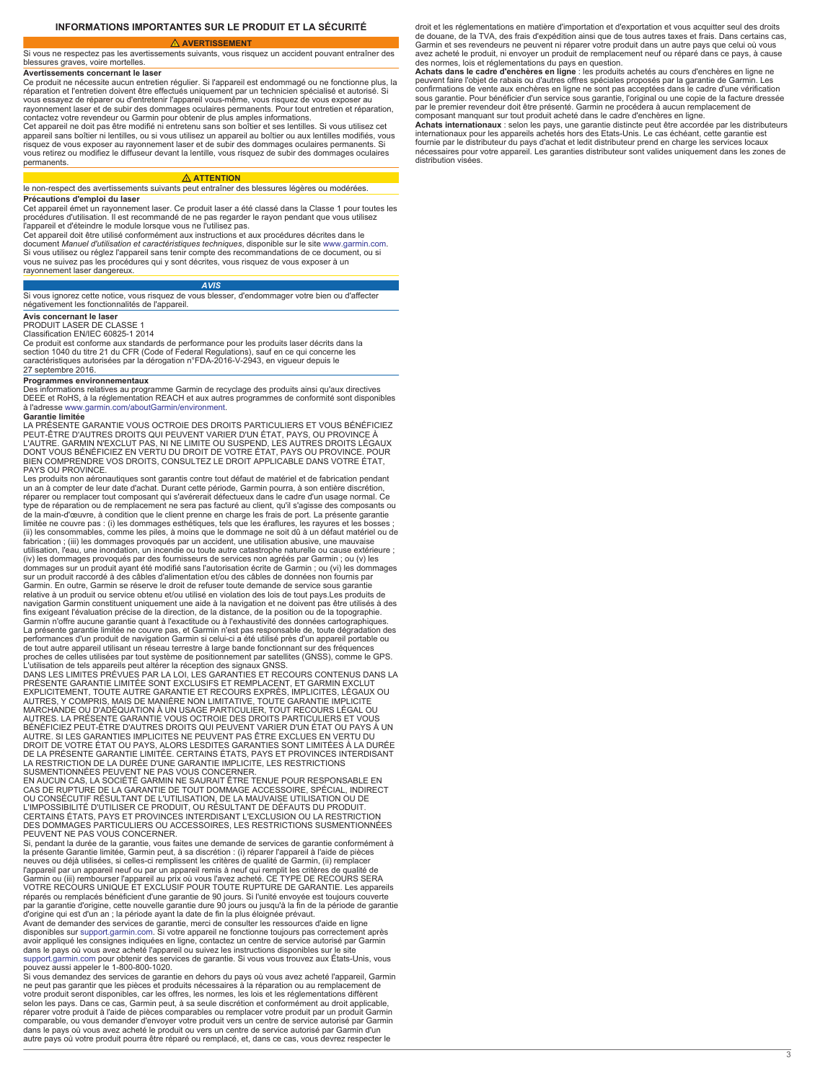### **INFORMATIONS IMPORTANTES SUR LE PRODUIT ET LA SÉCURITÉ**

 **AVERTISSEMENT**

<span id="page-2-0"></span>Si vous ne respectez pas les avertissements suivants, vous risquez un accident pouvant entraîner des blessures graves, voire mortelles.

**Avertissements concernant le laser**

Ce produit ne nécessite aucun entretien régulier. Si l'appareil est endommagé ou ne fonctionne plus, la réparation et l'entretien doivent être effectués uniquement par un technicien spécialisé et autorisé. Si vous essayez de réparer ou d'entretenir l'appareil vous-même, vous risquez de vous exposer au rayonnement laser et de subir des dommages oculaires permanents. Pour tout entretien et réparation,

contactez votre revendeur ou Garmin pour obtenir de plus amples informations. Cet appareil ne doit pas être modifié ni entretenu sans son boîtier et ses lentilles. Si vous utilisez cet appareil sans boîtier ni lentilles, ou si vous utilisez un appareil au boîtier ou aux lentilles modifiés, vous risquez de vous exposer au rayonnement laser et de subir des dommages oculaires permanents. Si vous retirez ou modifiez le diffuseur devant la lentille, vous risquez de subir des dommages oculaires permanents.

# **ATTENTION**

le non-respect des avertissements suivants peut entraîner des blessures légères ou modérées. **Précautions d'emploi du laser**

Cet appareil émet un rayonnement laser. Ce produit laser a été classé dans la Classe 1 pour toutes les procédures d'utilisation. Il est recommandé de ne pas regarder le rayon pendant que vous utilisez<br>l'appareil et d'éteindre le module lorsque vous ne l'utilisez pas.<br>Cet appareil doit être utilisé conformément aux instructi

document *Manuel d'utilisation et caractéristiques techniques*, disponible sur le site [www.garmin.com](http://www.garmin.com/). Si vous utilisez ou réglez l'appareil sans tenir compte des recommandations de ce document, ou si vous ne suivez pas les procédures qui y sont décrites, vous risquez de vous exposer à un rayonnement laser dangereux.

### *AVIS*

Si vous ignorez cette notice, vous risquez de vous blesser, d'endommager votre bien ou d'affecter négativement les fonctionnalités de l'appareil.

**Avis concernant le laser** PRODUIT LASER DE CLASSE 1

Classification EN/IEC 60825-1 2014

Ce produit est conforme aux standards de performance pour les produits laser décrits dans la<br>section 1040 du titre 21 du CFR (Code of Federal Regulations), sauf en ce qui concerne les<br>caractéristiques autorisées par la dér 27 septembre 2016.

### **Programmes environnementaux**

Des informations relatives au programme Garmin de recyclage des produits ainsi qu'aux directives DEEE et RoHS, à la réglementation REACH et aux autres programmes de conformité sont disponibles à l'adresse [www.garmin.com/aboutGarmin/environment.](http://www.garmin.com/aboutGarmin/environment)

**Garantie limitée** LA PRÉSENTE GARANTIE VOUS OCTROIE DES DROITS PARTICULIERS ET VOUS BÉNÉFICIEZ PEUT-ÊTRE D'AUTRES DROITS QUI PEUVENT VARIER D'UN ÉTAT, PAYS, OU PROVINCE À<br>L'AUTRE. GARMIN N'EXCLUT PAS, NI NE LIMITE OU SUSPEND, LES AUTRES DROITS LÉGAUX<br>DONT VOUS BÉNÉFICIEZ EN VERTU DU DROIT DE VOTRE ÉTAT, PAYS OU PROV BIEN COMPRENDRE VOS DROITS, CONSULTEZ LE DROIT APPLICABLE DANS VOTRE ÉTAT, PAYS OU PROVINCE

Les produits non aéronautiques sont garantis contre tout défaut de matériel et de fabrication pendant<br>un an à compter de leur date d'achat. Durant cette période, Garmin pourra, à son entière discrétion, réparer ou remplacer tout composant qui s'avérerait défectueux dans le cadre d'un usage normal. Ce type de réparation ou de remplacement ne sera pas facturé au client, qu'il s'agisse des composants ou de la main-d'œuvre, à condition que le client prenne en charge les frais de port. La présente garantie limitée ne couvre pas : (i) les dommages esthétiques, tels que les éraflures, les rayures et les bosses ;<br>(ii) les consommables, comme les piles, à moins que le dommage ne soit dû à un défaut matériel ou de<br>fabrication ; ( utilisation, l'eau, une inondation, un incendie ou toute autre catastrophe naturelle ou cause extérieure ; (iv) les dommages provoqués par des fournisseurs de services non agréés par Garmin ; ou (v) les dommages sur un produit ayant été modifié sans l'autorisation écrite de Garmin ; ou (vi) les dommages sur un produit raccordé à des câbles d'alimentation et/ou des câbles de données non fournis par Garmin. En outre, Garmin se réserve le droit de refuser toute demande de service sous garantie relative à un produit ou service obtenu et/ou utilisé en violation des lois de tout pays.Les produits de navigation Garmin constituent uniquement une aide à la navigation et ne doivent pas être utilisés à des<br>fins exigeant l'évaluation précise de la direction, de la distance, de la position ou de la topographie.<br>Garmin n'offr La présente garantie limitée ne couvre pas, et Garmin n'est pas responsable de, toute dégradation des performances d'un produit de navigation Garmin si celui-ci a été utilisé près d'un appareil portable ou de tout autre appareil utilisant un réseau terrestre à large bande fonctionnant sur des fréquences<br>proches de celles utilisées par tout système de positionnement par satellites (GNSS), comme le GPS.<br>L'utilisation de tels a

PRESENTE GARANTIE LIMITÉE SONT EXCLUSIFS ET REMPLACENT, ET GARMIN EXCLUT<br>EXPLICITEMENT, TOUTE AUTRE GARANTIE ET RECOURS EXPRÈS, IMPLICITES, L'ÉGAUX OU<br>AUTRES, Y COMPRIS, MAIS DE MANIÈRE NON LIMITATIVE, TOUTE GARANTIE IMPLI MARCHANDE OU D'ADÉQUATION À UN USAGE PARTICULIER, TOUT RECOURS LÉGAL OU AUTRES. LA PRESENTE GARANTIE VOUS OCTROIE DES DROITS PARTICULIERS ET VOUS<br>BÉNÉFICIEZ PEUT-ÊTRE D'AUTRES DROITS QUI PEUVENT VARIER D'UN ÉTAT OU PAYS À UN<br>AUTRE. SI LES GARANTIES IMPLICITES NE PEUVENT PAS ÊTRE EXCLUES EN VER DROIT DE VOTRE ÉTAT OU PAYS, ALORS LESDITES GARANTIES SONT LIMITÉES À LA DURÉE<br>DE LA PRÉSENTE GARANTIE LIMITÉE. CERTAINS ÉTATS, PAYS ET PROVINCES INTERDISANT<br>LA RESTRICTION DE LA DURÉE D'UNE GARANTIE IMPLICITE, LES RESTRIC

EN AUCUN CAS, LA SOCIÉTÉ GARMIN NE SAURAIT ÊTRE TENUE POUR RESPONSABLE EN CAS DE RUPTURE DE LA GARANTIE DE TOUT DOMMAGE ACCESSOIRE, SPÉCIAL, INDIRECT OU CONSÉCUTIF RÉSULTANT DE L'UTILISATION, DE LA MAUVAISE UTILISATION OU DE L'IMPOSSIBILITÉ D'UTILISER CE PRODUIT, OU RÉSULTANT DE DÉFAUTS DU PRODUIT. CERTAINS ÉTATS, PAYS ET PROVINCES INTERDISANT L'EXCLUSION OU LA RESTRICTION<br>DES DOMMAGES PARTICULIERS OU ACCESSOIRES, LES RESTRICTIONS SUSMENTIONNÉES<br>PEUVENT NE PAS VOUS CONCERNER.

Si, pendant la durée de la garantie, vous faites une demande de services de garantie conformément à la présente Garantie limitée, Garmin peut, à sa discrétion : (i) réparer l'appareil à l'aide de pièces neuves ou déjà utilisées, si celles-ci remplissent les critères de qualité de Garmin, (ii) remplacer l'appareil par un appareil neuf ou par un appareil remis à neuf qui remplit les critères de qualité de<br>Garmin ou (iii) rembourser l'appareil au prix où vous l'avez acheté. CE TYPE DE RECOURS SERA<br>VOTRE RECOURS UNIQUE ET EX

réparés ou remplacés bénéficient d'une garantie de 90 jours. Si l'unité envoyée est toujours couverte<br>par la garantie d'origine, cette nouvelle garantie dure 90 jours ou jusqu'à la fin de la période de garantie<br>d'origine q dans le pays où vous avez acheté l'appareil ou suivez les instructions disponibles sur le site<br>[support.garmin.com](http://www.support.garmin.com) pour obtenir des services de garantie. Si vous vous trouvez aux États-Unis, vous<br>pouvez aussi appeler le 1-8

Si vous demandez des services de garantie en dehors du pays où vous avez acheté l'appareil, Garmin ne peut pas garantir que les pièces et produits nécessaires à la réparation ou au remplacement de votre produit seront disponibles, car les offres, les normes, les lois et les réglementations diffèrent selon les pays. Dans ce cas, Garmin peut, à sa seule discrétion et conformément au droit applicable, réparer votre produit à l'aide de pièces comparables ou remplacer votre produit par un produit Garmin comparable, ou vous demander d'envoyer votre produit vers un centre de service autorisé par Garmin dans le pays où vous avez acheté le produit ou vers un centre de service autorisé par Garmin d'un autre pays où votre produit pourra être réparé ou remplacé, et, dans ce cas, vous devrez respecter le

droit et les réglementations en matière d'importation et d'exportation et vous acquitter seul des droits de douane, de la TVA, des frais d'expédition ainsi que de tous autres taxes et frais. Dans certains cas, Garmin et ses revendeurs ne peuvent ni réparer votre produit dans un autre pays que celui où vous avez acheté le produit, ni envoyer un produit de remplacement neuf ou réparé dans ce pays, à cause

des normes, lois et réglementations du pays en question.<br>**Achats dans le cadre d'enchères en ligne** : les produits achetés au cours d'enchères en ligne ne<br>peuvent faire l'objet de rabais ou d'autres offres spéciales propos confirmations de vente aux enchères en ligne ne sont pas acceptées dans le cadre d'une vérification sous garantie. Pour bénéficier d'un service sous garantie, l'original ou une copie de la facture dressée<br>par le premier revendeur doit être présenté. Garmin ne procédera à aucun remplacement de<br>composant manquant sur tout

**Achats internationaux** : selon les pays, une garantie distincte peut être accordée par les distributeurs internationaux pour les appareils achetés hors des Etats-Unis. Le cas échéant, cette garantie est fournie par le distributeur du pays d'achat et ledit distributeur prend en charge les services locaux nécessaires pour votre appareil. Les garanties distributeur sont valides uniquement dans les zones de distribution visées.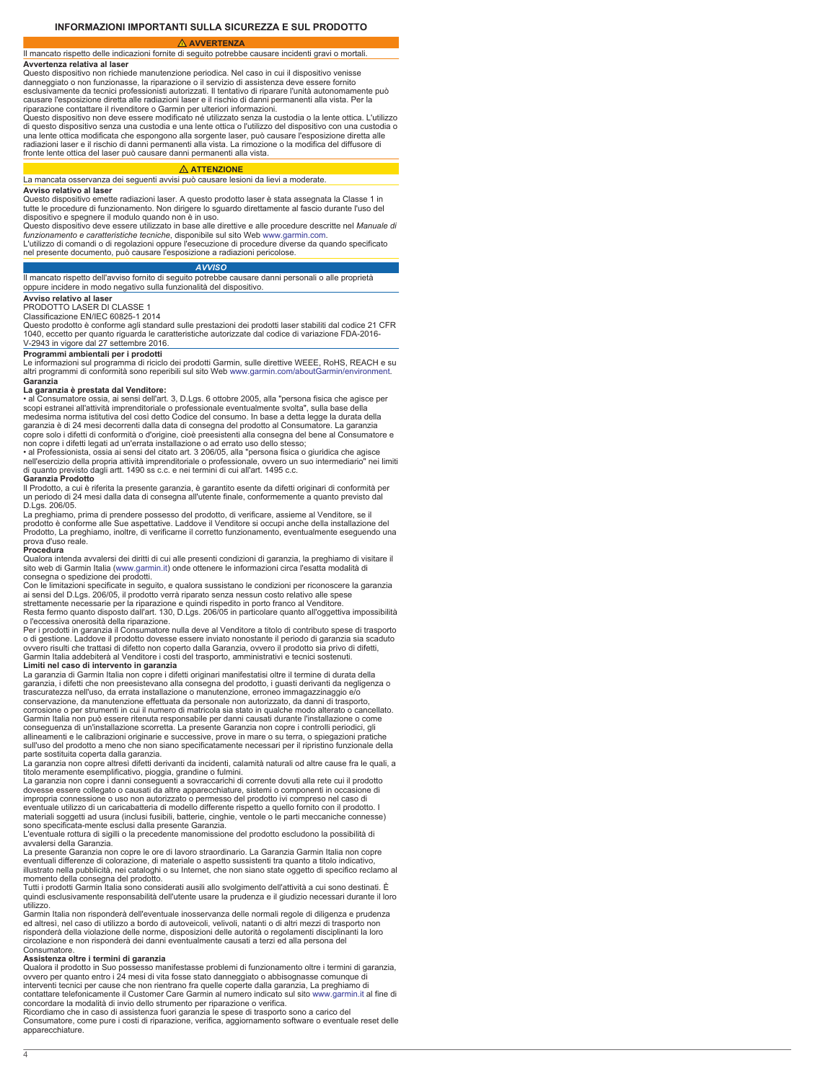<span id="page-3-0"></span> **AVVERTENZA** Il mancato rispetto delle indicazioni fornite di seguito potrebbe causare incidenti gravi o mortali.

### **Avvertenza relativa al lase**

Questo dispositivo non richiede manutenzione periodica. Nel caso in cui il dispositivo venisse danneggiato o non funzionasse, la riparazione o il servizio di assistenza deve essere fornito esclusivamente da tecnici professionisti autorizzati. Il tentativo di riparare l'unità autonomamente può

causare l'esposizione diretta alle radiazioni laser e il rischio di danni permanenti alla vista. Per la riparazione contattare il rivenditore o Garmin per ulteriori informazioni.

Questo dispositivo non deve essere modificato né utilizzato senza la custodia o la lente ottica. L'utilizzo di questo dispositivo senza una custodia e una lente ottica o l'utilizzo del dispositivo con una custodia o una lente ottica modificata che espongono alla sorgente laser, può causare l'esposizione diretta alle radiazioni laser e il rischio di danni permanenti alla vista. La rimozione o la modifica del diffusore di fronte lente ottica del laser può causare danni permanenti alla vista.

# **ATTENZIONE**

### La mancata osservanza dei seguenti avvisi può causare lesioni da lievi a moderate. **Avviso relativo al laser**

Questo dispositivo emette radiazioni laser. A questo prodotto laser è stata assegnata la Classe 1 in tutte le procedure di funzionamento. Non dirigere lo sguardo direttamente al fascio durante l'uso del dispositivo e spegnere il modulo quando non è in uso.

Questo dispositivo deve essere utilizzato in base alle direttive e alle procedure descritte nel *Manuale di funzionamento e caratteristiche tecniche*, disponibile sul sito Web [www.garmin.com](http://www.garmin.com/). L'utilizzo di comandi o di regolazioni oppure l'esecuzione di procedure diverse da quando specificato

nel presente documento, può causare l'esposizione a radiazioni pericolose.

# *AVVISO*

Il mancato rispetto dell'avviso fornito di seguito potrebbe causare danni personali o alle proprietà oppure incidere in modo negativo sulla funzionalità del dispositivo.

# **Avviso relativo al lase**

PRODOTTO LASER DI CLASSE 1

Classificazione EN/IEC 60825-1 2014

Questo prodotto è conforme agli standard sulle prestazioni dei prodotti laser stabiliti dal codice 21 CFR 1040, eccetto per quanto riguarda le caratteristiche autorizzate dal codice di variazione FDA-2016- V-2943 in vigore dal 27 settembre 2016.

### **Programmi ambientali per i prodotti**

Le informazioni sul programma di riciclo dei prodotti Garmin, sulle direttive WEEE, RoHS, REACH e su altri programmi di conformità sono reperibili sul sito Web [www.garmin.com/aboutGarmin/environment](http://www.garmin.com/aboutGarmin/environment). **Garanzia**

**La garanzia è prestata dal Venditore:**<br>• al Consumatore ossia, ai sensi dell'art. 3, D.Lgs. 6 ottobre 2005, alla "persona fisica che agisce per<br>scopi estranei all'attività imprenditoriale o professionale eventualmente svo medesima norma istitutiva del così detto Codice del consumo. In base a detta legge la durata della garanzia è di 24 mesi decorrenti dalla data di consegna del prodotto al Consumatore. La garanzia copre solo i difetti di conformità o d'origine, cioè preesistenti alla consegna del bene al Consumatore e non copre i difetti legati ad un'errata installazione o ad errato uso dello stesso;

• al Professionista, ossia ai sensi del citato art. 3 206/05, alla "persona fisica o giuridica che agisce nell'esercizio della propria attività imprenditoriale o professionale, ovvero un suo intermediario" nei limiti di quanto previsto dagli artt. 1490 ss c.c. e nei termini di cui all'art. 1495 c.c. **Garanzia Prodotto**

Il Prodotto, a cui è riferita la presente garanzia, è garantito esente da difetti originari di conformità per un periodo di 24 mesi dalla data di consegna all'utente finale, conformemente a quanto previsto dal D.Lgs. 206/05.

La preghiamo, prima di prendere possesso del prodotto, di verificare, assieme al Venditore, se il prodotto è conforme alle Sue aspettative. Laddove il Venditore si occupi anche della installazione del Prodotto, La preghiamo, inoltre, di verificarne il corretto funzionamento, eventualmente eseguendo una prova d'uso reale.

**Procedura**<br>Qualora intenda avvalersi dei diritti di cui alle presenti condizioni di garanzia, la preghiamo di visitare il sito web di Garmin Italia ([www.garmin.it](http://www.garmin.it)) onde ottenere le informazioni circa l'esatta modalità di consegna o spedizione dei prodotti.

Con le limitazioni specificate in seguito, e qualora sussistano le condizioni per riconoscere la garanzia ai sensi del D.Lgs. 206/05, il prodotto verrà riparato senza nessun costo relativo alle spese strettamente necessarie per la riparazione e quindi rispedito in porto franco al Venditore. Resta fermo quanto disposto dall'art. 130, D.Lgs. 206/05 in particolare quanto all'oggettiva impossibilità o l'eccessiva onerosità della riparazione.

Per i prodotti in garanzia il Consumatore nulla deve al Venditore a titolo di contributo spese di trasporto<br>o di gestione. Laddove il prodotto dovesse essere inviato nonostante il periodo di garanzia sia scaduto ovvero risulti che trattasi di difetto non coperto dalla Garanzia, ovvero il prodotto sia privo di difetti, Garmin Italia addebiterà al Venditore i costi del trasporto, amministrativi e tecnici sostenuti. **Limiti nel caso di intervento in garanzia** La garanzia di Garmin Italia non copre i difetti originari manifestatisi oltre il termine di durata della

garanzia, i difetti che non preesistevano alla consegna del prodotto, i guasti derivanti da negligenza o trascuratezza nell'uso, da errata installazione o manutenzione, erroneo immagazzinaggio e/o conservazione, da manutenzione effettuata da personale non autorizzato, da danni di trasporto, corrosione o per strumenti in cui il numero di matricola sia stato in qualche modo alterato o cancellato. Garmin Italia non può essere ritenuta responsabile per danni causati durante l'installazione o come conseguenza di un'installazione scorretta. La presente Garanzia non copre i controlli periodici, gli allineamenti e le calibrazioni originarie e successive, prove in mare o su terra, o spiegazioni pratiche sull'uso del prodotto a meno che non siano specificatamente necessari per il ripristino funzionale della parte sostituita coperta dalla garanzia.

La garanzia non copre altresì difetti derivanti da incidenti, calamità naturali od altre cause fra le quali, a titolo meramente esemplificativo, pioggia, grandine o fulmini. La garanzia non copre i danni conseguenti a sovraccarichi di corrente dovuti alla rete cui il prodotto

dovesse essere collegato o causati da altre apparecchiature, sistemi o componenti in occasione di impropria connessione o uso non autorizzato o permesso del prodotto ivi compreso nel caso di eventuale utilizzo di un caricabatteria di modello differente rispetto a quello fornito con il prodotto. I materiali soggetti ad usura (inclusi fusibili, batterie, cinghie, ventole o le parti meccaniche connesse) sono specificata-mente esclusi dalla presente Garanzia.

L'eventuale rottura di sigilli o la precedente manomissione del prodotto escludono la possibilità di avvalersi della Garanzia.

La presente Garanzia non copre le ore di lavoro straordinario. La Garanzia Garmin Italia non copre eventuali differenze di colorazione, di materiale o aspetto sussistenti tra quanto a titolo indicativo, illustrato nella pubblicità, nei cataloghi o su Internet, che non siano state oggetto di specifico reclamo al momento della consegna del prodotto. Tutti i prodotti Garmin Italia sono considerati ausili allo svolgimento dell'attività a cui sono destinati. È

quindi esclusivamente responsabilità dell'utente usare la prudenza e il giudizio necessari durante il loro utilizzo.

Garmin Italia non risponderà dell'eventuale inosservanza delle normali regole di diligenza e prudenza ed altresì, nel caso di utilizzo a bordo di autoveicoli, velivoli, natanti o di altri mezzi di trasporto non risponderà della violazione delle norme, disposizioni delle autorità o regolamenti disciplinanti la loro circolazione e non risponderà dei danni eventualmente causati a terzi ed alla persona del Consumatore.

### **Assistenza oltre i termini di garanzia**

Qualora il prodotto in Suo possesso manifestasse problemi di funzionamento oltre i termini di garanzia, ovvero per quanto entro i 24 mesi di vita fosse stato danneggiato o abbisognasse comunque di interventi tecnici per cause che non rientrano fra quelle coperte dalla garanzia, La preghiamo di contattare telefonicamente il Customer Care Garmin al numero indicato sul sito [www.garmin.it](http://www.garmin.it) al fine di concordare la modalità di invio dello strumento per riparazione o verifica.

Ricordiamo che in caso di assistenza fuori garanzia le spese di trasporto sono a carico del Consumatore, come pure i costi di riparazione, verifica, aggiornamento software o eventuale reset delle apparecchiature.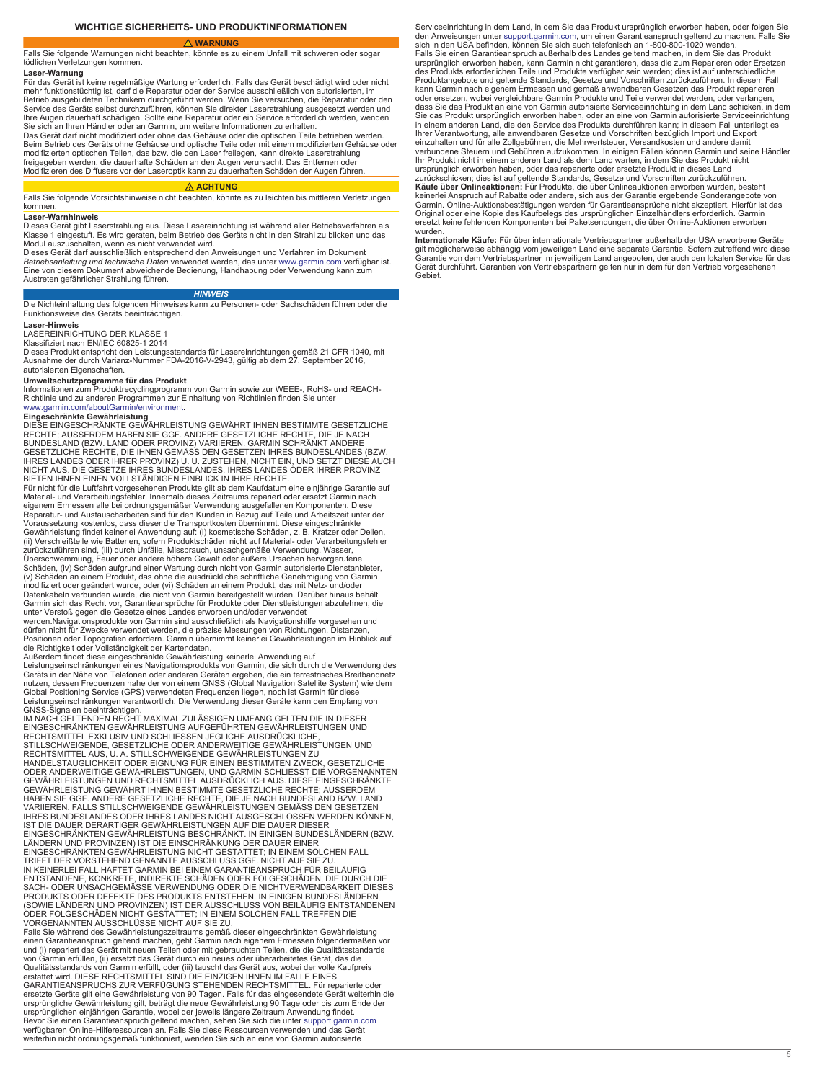<span id="page-4-0"></span>Falls Sie folgende Warnungen nicht beachten, könnte es zu einem Unfall mit schweren oder sogar tödlichen Verletzungen kommen.

# **Laser-Warnung**

Für das Gerät ist keine regelmäßige Wartung erforderlich. Falls das Gerät beschädigt wird oder nicht mehr funktionstüchtig ist, darf die Reparatur oder der Service ausschließlich von autorisierten, im<br>Betrieb ausgebildeten Technikern durchgeführt werden. Wenn Sie versuchen, die Reparatur oder den<br>Service des Geräts selbst lhre Augen dauerhaft schädigen. Sollte eine Reparatur oder ein Service erforderlich werden, wenden<br>Sie sich an Ihren Händler oder an Garmin, um weitere Informationen zu erhalten.

Das Gerät darf nicht modifiziert oder ohne das Gehäuse oder die optischen Teile betrieben werden. Beim Betrieb des Geräts ohne Gehäuse und optische Teile oder mit einem modifizierten Gehäuse oder modifizierten optischen Teilen, das bzw. die den Laser freilegen, kann direkte Laserstrahlung freigegeben werden, die dauerhafte Schäden an den Augen verursacht. Das Entfernen oder Modifizieren des Diffusers vor der Laseroptik kann zu dauerhaften Schäden der Augen führen.

### **ACHTUNG**

Falls Sie folgende Vorsichtshinweise nicht beachten, könnte es zu leichten bis mittleren Verletzungen kommen.

### **Laser-Warnhinweis**

Dieses Gerät gibt Laserstrahlung aus. Diese Lasereinrichtung ist während aller Betriebsverfahren als Klasse 1 eingestuft. Es wird geraten, beim Betrieb des Geräts nicht in den Strahl zu blicken und das Modul auszuschalten, wenn es nicht verwendet wird.

Dieses Gerät darf ausschließlich entsprechend den Anweisungen und Verfahren im Dokument *Betriebsanleitung und technische Daten* verwendet werden, das unter [www.garmin.com](http://www.garmin.com/) verfügbar ist.<br>Eine von diesem Dokument abweichende Bedienung, Handhabung oder Verwendung kann zum Austreten gefährlicher Strahlung führen.

# *HINWEIS*

Die Nichteinhaltung des folgenden Hinweises kann zu Personen- oder Sachschäden führen oder die Funktionsweise des Geräts beeinträchtigen.

### **Laser-Hinweis**

LASEREINRICHTUNG DER KLASSE 1 Klassifiziert nach EN/IEC 60825-1 2014

Dieses Produkt entspricht den Leistungsstandards für Lasereinrichtungen gemäß 21 CFR 1040, mit Ausnahme der durch Varianz-Nummer FDA-2016-V-2943, gültig ab dem 27. September 2016, autorisierten Eigenschaften.

**Umweltschutzprogramme für das Produkt** Informationen zum Produktrecyclingprogramm von Garmin sowie zur WEEE-, RoHS- und REACH-Richtlinie und zu anderen Programmen zur Einhaltung von Richtlinien finden Sie unter [www.garmin.com/aboutGarmin/environment](http://www.garmin.com/aboutGarmin/environment).

**Eingeschränkte Gewährleistung** DIESE EINGESCHRÄNKTE GEWÄHRLEISTUNG GEWÄHRT IHNEN BESTIMMTE GESETZLICHE RECHTE; AUSSERDEM HABEN SIE GGF. ANDERE GESETZLICHE RECHTE, DIE JE NACH<br>BUNDESLAND (BZW. LAND ODER PROVINZ) VARIIEREN. GARMIN SCHRÄNKT ANDERE<br>GESETZLICHE RECHTE, DIE IHNEN GEMÄSS DEN GESETZEN IHRES BUNDESLANDES (BZW. IHRES LANDES ODER IHRER PROVINZ) U. U. ZUSTEHEN, NICHT EIN, UND SETZT DIESE AUCH NICHT AUS. DIE GESETZE IHRES BUNDESLANDES, IHRES LANDES ODER IHRER PROVINZ BIETEN IHNEN EINEN VOLLSTÄNDIGEN EINBLICK IN IHRE RECHTE.

Für nicht für die Luftfahrt vorgesehenen Produkte gilt ab dem Kaufdatum eine einjährige Garantie auf<br>Material- und Verarbeitungsfehler. Innerhalb dieses Zeitraums repariert oder ersetzt Garmin nach<br>eigenem Ermessen alle be Voraussetzung kostenlos, dass dieser die Transportkosten übernimmt. Diese eingeschränkte<br>Gewährleistung findet keinerlei Anwendung auf: (i) kosmetische Schäden, z. B. Kratzer oder Dellen,<br>(ii) Verschleißteile wie Batterien zurückzuführen sind, (iii) durch Unfälle, Missbrauch, unsachgemäße Verwendung, Wasser, Überschwemmung, Feuer oder andere höhere Gewalt oder äußere Ursachen hervorgerufene Schäden, (iv) Schäden aufgrund einer Wartung durch nicht von Garmin autorisierte Dienstanbieter,<br>(v) Schäden an einem Produkt, das ohne die ausdrückliche schriftliche Genehmigung von Garmin modifiziert oder geändert wurde, oder (vi) Schäden an einem Produkt, das mit Netz- und/oder Datenkabeln verbunden wurde, die nicht von Garmin bereitgestellt wurden. Darüber hinaus behält Garmin sich das Recht vor, Garantieansprüche für Produkte oder Dienstleistungen abzulehnen, die<br>unter Verstoß gegen die Gesetze eines Landes erworben und/oder verwendet<br>werden.Navigationsprodukte von Garmin sind ausschließ

dürfen nicht für Zwecke verwendet werden, die präzise Messungen von Richtungen, Distanzen,<br>Positionen oder Topografien erfordern. Garmin übernimmt keinerlei Gewährleistungen im Hinblick auf

die Richtigkeit oder Vollständigkeit der Kartendaten.<br>Außerdem findet diese eingeschränkte Gewährleistung keinerlei Anwendung auf<br>Leistungseinschränkungen eines Navigationsprodukts von Garmin, die sich durch die Verwendung nutzen, dessen Frequenzen nahe der von einem GNSS (Global Navigation Satellite System) wie dem<br>Global Positioning Service (GPS) verwendeten Frequenzen liegen, noch ist Garmin für diese

Leistungseinschränkungen verantwortlich. Die Verwendung dieser Geräte kann den Empfang von<br>GNSS-Signalen beeinträchtigen.<br>IM NACH GELTENDEN RECHT MAXIMAL ZULÄSSIGEN UMFANG GELTEN DIE IN DIESER<br>EINGESCHRÄNKTEN GEWÄHRLEISTUN STILLSCHWEIGENDE, GESETZLICHE ODER ANDERWEITIGE GEWÄHRLEISTUNGEN UND<br>RECHTSMITTEL AUS, U. A. STILLSCHWEIGENDE GEWÄHRLEISTUNGEN ZU HANDELSTAUGLICHKEIT ODER EIGNUNG FÜR EINEN BESTIMMTEN ZWECK, GESETZLICHE<br>ODER ANDERWEITIGE GEWÄHRLEISTUNGEN, UND GARMIN SCHLIESST DIE VORGENANNTEN<br>GEWÄHRLEISTUNGEN UND RECHTSMITTEL AUSDRÜCKLICH AUS. DIESE EINGESCHRÄNKTE<br>GE HABEN SIE GGF. ANDERE GESETZLICHE RECHTE, DIE JE NACH BUNDESLAND BZW. LAND VARIIEREN. FALLS STILLSCHWEIGENDE GEWÄHRLEISTUNGEN GEMÄSS DEN GESETZEN IHRES BUNDESLANDES ODER IHRES LANDES NICHT AUSGESCHLOSSEN WERDEN KÖNNEN,<br>IST DIE DAUER DERARTIGER GEWÄHRLEISTUNGEN AUF DIE DAUER DIESER<br>EINGESCHRÄNKTEN GEWÄHRLEISTUNG BESCHRÄNKT. IN EINIGEN BUNDESLÄNDERN (BZW. LÄNDERN UND PROVINZEN) IST DIE EINSCHRÄNKUNG DER DAUER EINER EINGESCHRÄNKTEN GEWÄHRLEISTUNG NICHT GESTATTET; IN EINEM SOLCHEN FALL<br>TRIFFT DER VORSTEHEND GENANNTE AUSSCHLUSS GGF. NICHT AUF SIE ZU.<br>IN KEINERLEI FALL HAFTET GARMIN BEI EINEM GARANTIEANSPRUCH FÜR BEILÄUFIG ENTSTANDENE, KONKRETE, INDIREKTE SCHÄDEN ODER FOLGESCHÄDEN, DIE DURCH DIE SACH- ODER UNSACHGEMÄSSE VERWENDUNG ODER DIE NICHTVERWENDBARKEIT DIESES PRODUKTS ODER DEFEKTE DES PRODUKTS ENTSTEHEN. IN EINIGEN BUNDESLÄNDERN<br>(SOWIE LÄNDERN UND PROVINZEN) IST DER AUSSCHLUSS VON BEILÄUFIG ENTSTANDENEN<br>ODER FOLGESCHÄDEN NICHT GESTATTET; IN EINEM SOLCHEN FALL TREFFEN DIE<br>VORGEN

Falls Sie während des Gewährleistungszeitraums gemäß dieser eingeschränkten Gewährleistung einen Garantieanspruch geltend machen, geht Garmin nach eigenem Ermessen folgendermaßen vor und (i) repariert das Gerät mit neuen Teilen oder mit gebrauchten Teilen, die die Qualitätsstandards<br>von Garmin erfüllen, (ii) ersetzt das Gerät durch ein neues oder überarbeitetes Gerät, das die<br>Qualitätsstandards von Gar GARANTIEANSPRUCHS ZUR VERFÜGUNG STEHENDEN RECHTSMITTEL. Für reparierte oder<br>ersetzte Geräte gilt eine Gewährleistung von 90 Tagen. Falls für das eingesendete Gerät weiterhin die<br>ursprüngliche Gewährleistung gilt, beträgt d verfügbaren Online-Hilferessourcen an. Falls Sie diese Ressourcen verwenden und das Gerät weiterhin nicht ordnungsgemäß funktioniert, wenden Sie sich an eine von Garmin autorisierte

Serviceeinrichtung in dem Land, in dem Sie das Produkt ursprünglich erworben haben, oder folgen Sie den Anweisungen unter [support.garmin.com](http://www.support.garmin.com), um einen Garantieanspruch geltend zu machen. Falls Sie sich in den USA befinden, können Sie sich auch telefonisch an 1-800-800-1020 wenden. Falls Sie einen Garantieanspruch außerhalb des Landes geltend machen, in dem Sie das Produkt ursprünglich erworben haben, kann Garmin nicht garantieren, dass die zum Reparieren oder Ersetzen<br>des Produkts erforderlichen Teile und Produkte verfügbar sein werden; dies ist auf unterschiedliche<br>Produktangebote und gelt kann Garmin nach eigenem Ermessen und gemäß anwendbaren Gesetzen das Produkt reparieren oder ersetzen, wobei vergleichbare Garmin Produkte und Teile verwendet werden, oder verlangen, dass Sie das Produkt an eine von Garmin autorisierte Serviceeinrichtung in dem Land schicken, in dem Sie das Produkt ursprünglich erworben haben, oder an eine von Garmin autorisierte Serviceeinrichtung in einem anderen Land, die den Service des Produkts durchführen kann; in diesem Fall unterliegt es Ihrer Verantwortung, alle anwendbaren Gesetze und Vorschriften bezüglich Import und Export einzuhalten und für alle Zollgebühren, die Mehrwertsteuer, Versandkosten und andere damit verbundene Steuern und Gebühren aufzukommen. In einigen Fällen können Garmin und seine Händler Ihr Produkt nicht in einem anderen Land als dem Land warten, in dem Sie das Produkt nicht ursprünglich erworben haben, oder das reparierte oder ersetzte Produkt in dieses Land zurückschicken; dies ist auf geltende Standards, Gesetze und Vorschriften zurückzuführen. **Käufe über Onlineaktionen:** Für Produkte, die über Onlineauktionen erworben wurden, besteht keinerlei Anspruch auf Rabatte oder andere, sich aus der Garantie ergebende Sonderangebote von Garmin. Online-Auktionsbestätigungen werden für Garantieansprüche nicht akzeptiert. Hierfür ist das Original oder eine Kopie des Kaufbelegs des ursprünglichen Einzelhändlers erforderlich. Garmin ersetzt keine fehlenden Komponenten bei Paketsendungen, die über Online-Auktionen erworben wurden.

**Internationale Käufe:** Für über internationale Vertriebspartner außerhalb der USA erworbene Geräte gilt möglicherweise abhängig vom jeweiligen Land eine separate Garantie. Sofern zutreffend wird diese Garantie von dem Vertriebspartner im jeweiligen Land angeboten, der auch den lokalen Service für das Gerät durchführt. Garantien von Vertriebspartnern gelten nur in dem für den Vertrieb vorgesehenen Gebiet.